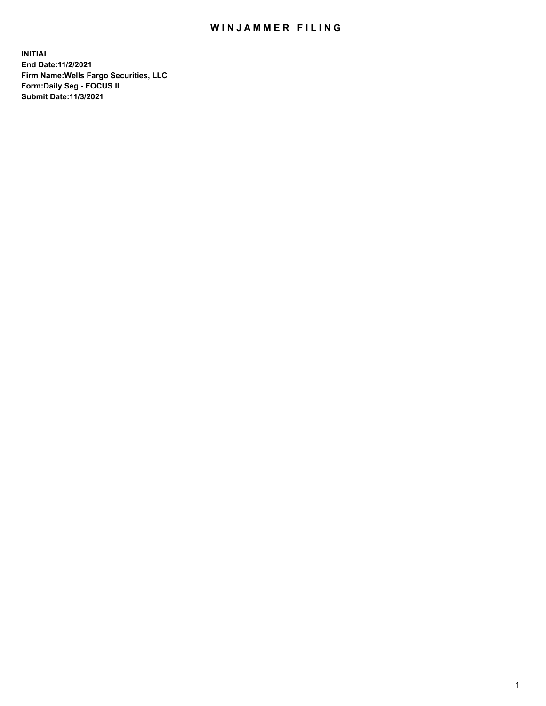## WIN JAMMER FILING

**INITIAL End Date:11/2/2021 Firm Name:Wells Fargo Securities, LLC Form:Daily Seg - FOCUS II Submit Date:11/3/2021**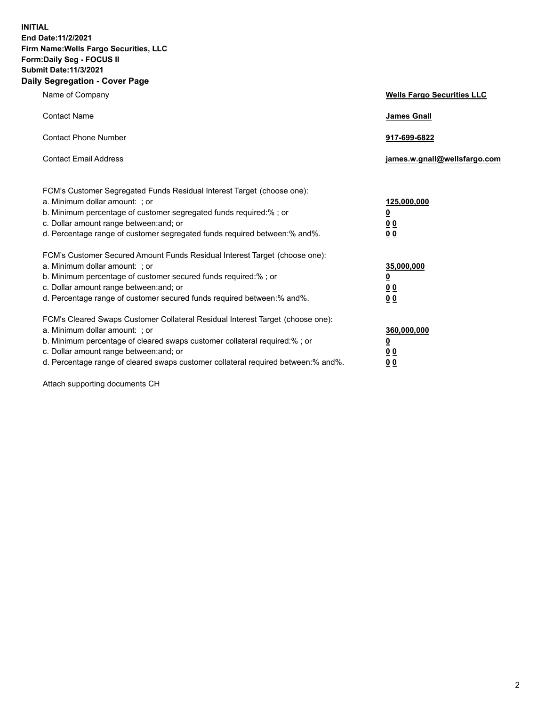**INITIAL End Date:11/2/2021 Firm Name:Wells Fargo Securities, LLC Form:Daily Seg - FOCUS II Submit Date:11/3/2021 Daily Segregation - Cover Page**

| Name of Company                                                                                                                                                                                                                                                                                                                | <b>Wells Fargo Securities LLC</b>                             |
|--------------------------------------------------------------------------------------------------------------------------------------------------------------------------------------------------------------------------------------------------------------------------------------------------------------------------------|---------------------------------------------------------------|
| <b>Contact Name</b>                                                                                                                                                                                                                                                                                                            | <b>James Gnall</b>                                            |
| <b>Contact Phone Number</b>                                                                                                                                                                                                                                                                                                    | 917-699-6822                                                  |
| <b>Contact Email Address</b>                                                                                                                                                                                                                                                                                                   | james.w.gnall@wellsfargo.com                                  |
| FCM's Customer Segregated Funds Residual Interest Target (choose one):<br>a. Minimum dollar amount: ; or<br>b. Minimum percentage of customer segregated funds required:% ; or<br>c. Dollar amount range between: and; or<br>d. Percentage range of customer segregated funds required between:% and%.                         | 125,000,000<br><u>0</u><br>0 <sub>0</sub><br>0 <sub>0</sub>   |
| FCM's Customer Secured Amount Funds Residual Interest Target (choose one):<br>a. Minimum dollar amount: ; or<br>b. Minimum percentage of customer secured funds required:%; or<br>c. Dollar amount range between: and; or<br>d. Percentage range of customer secured funds required between:% and%.                            | 35,000,000<br>$\overline{\mathbf{0}}$<br>00<br>0 <sub>0</sub> |
| FCM's Cleared Swaps Customer Collateral Residual Interest Target (choose one):<br>a. Minimum dollar amount: ; or<br>b. Minimum percentage of cleared swaps customer collateral required:% ; or<br>c. Dollar amount range between: and; or<br>d. Percentage range of cleared swaps customer collateral required between:% and%. | 360,000,000<br><u>0</u><br>00<br>00                           |

Attach supporting documents CH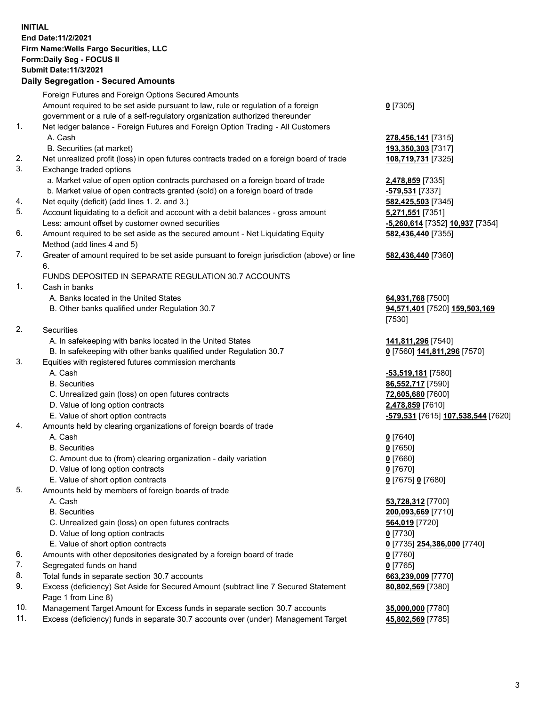**INITIAL End Date:11/2/2021 Firm Name:Wells Fargo Securities, LLC Form:Daily Seg - FOCUS II Submit Date:11/3/2021**

## **Daily Segregation - Secured Amounts**

|                | Foreign Futures and Foreign Options Secured Amounts                                                          |                                                  |
|----------------|--------------------------------------------------------------------------------------------------------------|--------------------------------------------------|
|                | Amount required to be set aside pursuant to law, rule or regulation of a foreign                             | $0$ [7305]                                       |
|                | government or a rule of a self-regulatory organization authorized thereunder                                 |                                                  |
| 1.             | Net ledger balance - Foreign Futures and Foreign Option Trading - All Customers                              |                                                  |
|                | A. Cash                                                                                                      | 278,456,141 [7315]                               |
|                | B. Securities (at market)                                                                                    | 193,350,303 [7317]                               |
| 2.             | Net unrealized profit (loss) in open futures contracts traded on a foreign board of trade                    | 108,719,731 [7325]                               |
| 3.             | Exchange traded options                                                                                      |                                                  |
|                | a. Market value of open option contracts purchased on a foreign board of trade                               | 2,478,859 [7335]                                 |
|                | b. Market value of open contracts granted (sold) on a foreign board of trade                                 | -579,531 [7337]                                  |
| 4.             | Net equity (deficit) (add lines 1. 2. and 3.)                                                                | 582,425,503 [7345]                               |
| 5.             | Account liquidating to a deficit and account with a debit balances - gross amount                            | 5,271,551 [7351]                                 |
|                | Less: amount offset by customer owned securities                                                             |                                                  |
| 6.             |                                                                                                              | -5,260,614 [7352] 10,937 [7354]                  |
|                | Amount required to be set aside as the secured amount - Net Liquidating Equity<br>Method (add lines 4 and 5) | 582,436,440 [7355]                               |
| 7.             | Greater of amount required to be set aside pursuant to foreign jurisdiction (above) or line                  | 582,436,440 [7360]                               |
|                | 6.                                                                                                           |                                                  |
|                | FUNDS DEPOSITED IN SEPARATE REGULATION 30.7 ACCOUNTS                                                         |                                                  |
| 1.             | Cash in banks                                                                                                |                                                  |
|                | A. Banks located in the United States                                                                        | 64,931,768 [7500]                                |
|                | B. Other banks qualified under Regulation 30.7                                                               | 94,571,401 [7520] 159,503,169                    |
|                |                                                                                                              | [7530]                                           |
| 2.             | Securities                                                                                                   |                                                  |
|                | A. In safekeeping with banks located in the United States                                                    | 141,811,296 [7540]                               |
|                | B. In safekeeping with other banks qualified under Regulation 30.7                                           | 0 [7560] 141,811,296 [7570]                      |
| 3.             | Equities with registered futures commission merchants                                                        |                                                  |
|                | A. Cash                                                                                                      | -53,519,181 [7580]                               |
|                | <b>B.</b> Securities                                                                                         | 86,552,717 [7590]                                |
|                | C. Unrealized gain (loss) on open futures contracts                                                          | 72,605,680 [7600]                                |
|                | D. Value of long option contracts                                                                            | 2,478,859 [7610]                                 |
|                | E. Value of short option contracts                                                                           | -579,531 [7615] 107,538,544 [7620]               |
| 4.             | Amounts held by clearing organizations of foreign boards of trade                                            |                                                  |
|                | A. Cash                                                                                                      | $0$ [7640]                                       |
|                | <b>B.</b> Securities                                                                                         | $0$ [7650]                                       |
|                | C. Amount due to (from) clearing organization - daily variation                                              | $0$ [7660]                                       |
|                | D. Value of long option contracts                                                                            | $0$ [7670]                                       |
|                | E. Value of short option contracts                                                                           | 0 [7675] 0 [7680]                                |
| 5.             | Amounts held by members of foreign boards of trade                                                           |                                                  |
|                | A. Cash                                                                                                      | 53,728,312 [7700]                                |
|                | <b>B.</b> Securities                                                                                         | 200,093,669 [7710]                               |
|                | C. Unrealized gain (loss) on open futures contracts                                                          | 564,019 [7720]                                   |
|                | D. Value of long option contracts                                                                            | $0$ [7730]                                       |
|                | E. Value of short option contracts                                                                           | 0 [7735] 254,386,000 [7740]                      |
| 6.             | Amounts with other depositories designated by a foreign board of trade                                       | 0 [7760]                                         |
| 7.             | Segregated funds on hand                                                                                     | $0$ [7765]                                       |
| 8.             | Total funds in separate section 30.7 accounts                                                                | 663,239,009 [7770]                               |
| 9.             | Excess (deficiency) Set Aside for Secured Amount (subtract line 7 Secured Statement                          | 80,802,569 [7380]                                |
|                | Page 1 from Line 8)                                                                                          |                                                  |
| $\overline{A}$ |                                                                                                              | $\sim$ $\sim$ $\sim$ $\sim$ $\sim$ $\sim$ $\sim$ |

- 10. Management Target Amount for Excess funds in separate section 30.7 accounts **35,000,000** [7780]
- 11. Excess (deficiency) funds in separate 30.7 accounts over (under) Management Target **45,802,569** [7785]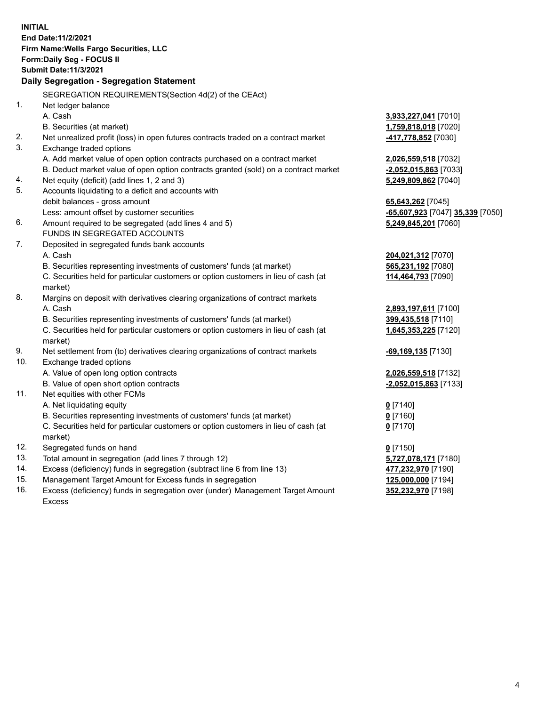**INITIAL End Date:11/2/2021 Firm Name:Wells Fargo Securities, LLC Form:Daily Seg - FOCUS II Submit Date:11/3/2021 Daily Segregation - Segregation Statement** SEGREGATION REQUIREMENTS(Section 4d(2) of the CEAct) 1. Net ledger balance A. Cash **3,933,227,041** [7010] B. Securities (at market) **1,759,818,018** [7020] 2. Net unrealized profit (loss) in open futures contracts traded on a contract market **-417,778,852** [7030] 3. Exchange traded options A. Add market value of open option contracts purchased on a contract market **2,026,559,518** [7032] B. Deduct market value of open option contracts granted (sold) on a contract market **-2,052,015,863** [7033] 4. Net equity (deficit) (add lines 1, 2 and 3) **5,249,809,862** [7040] 5. Accounts liquidating to a deficit and accounts with debit balances - gross amount **65,643,262** [7045] Less: amount offset by customer securities **-65,607,923** [7047] **35,339** [7050] 6. Amount required to be segregated (add lines 4 and 5) **5,249,845,201** [7060] FUNDS IN SEGREGATED ACCOUNTS 7. Deposited in segregated funds bank accounts A. Cash **204,021,312** [7070] B. Securities representing investments of customers' funds (at market) **565,231,192** [7080] C. Securities held for particular customers or option customers in lieu of cash (at market) **114,464,793** [7090] 8. Margins on deposit with derivatives clearing organizations of contract markets A. Cash **2,893,197,611** [7100] B. Securities representing investments of customers' funds (at market) **399,435,518** [7110] C. Securities held for particular customers or option customers in lieu of cash (at market) **1,645,353,225** [7120] 9. Net settlement from (to) derivatives clearing organizations of contract markets **-69,169,135** [7130] 10. Exchange traded options A. Value of open long option contracts **2,026,559,518** [7132] B. Value of open short option contracts **-2,052,015,863** [7133] 11. Net equities with other FCMs A. Net liquidating equity **0** [7140] B. Securities representing investments of customers' funds (at market) **0** [7160] C. Securities held for particular customers or option customers in lieu of cash (at market) **0** [7170] 12. Segregated funds on hand **0** [7150] 13. Total amount in segregation (add lines 7 through 12) **5,727,078,171** [7180] 14. Excess (deficiency) funds in segregation (subtract line 6 from line 13) **477,232,970** [7190] 15. Management Target Amount for Excess funds in segregation **125,000,000** [7194] 16. Excess (deficiency) funds in segregation over (under) Management Target Amount **352,232,970** [7198]

Excess